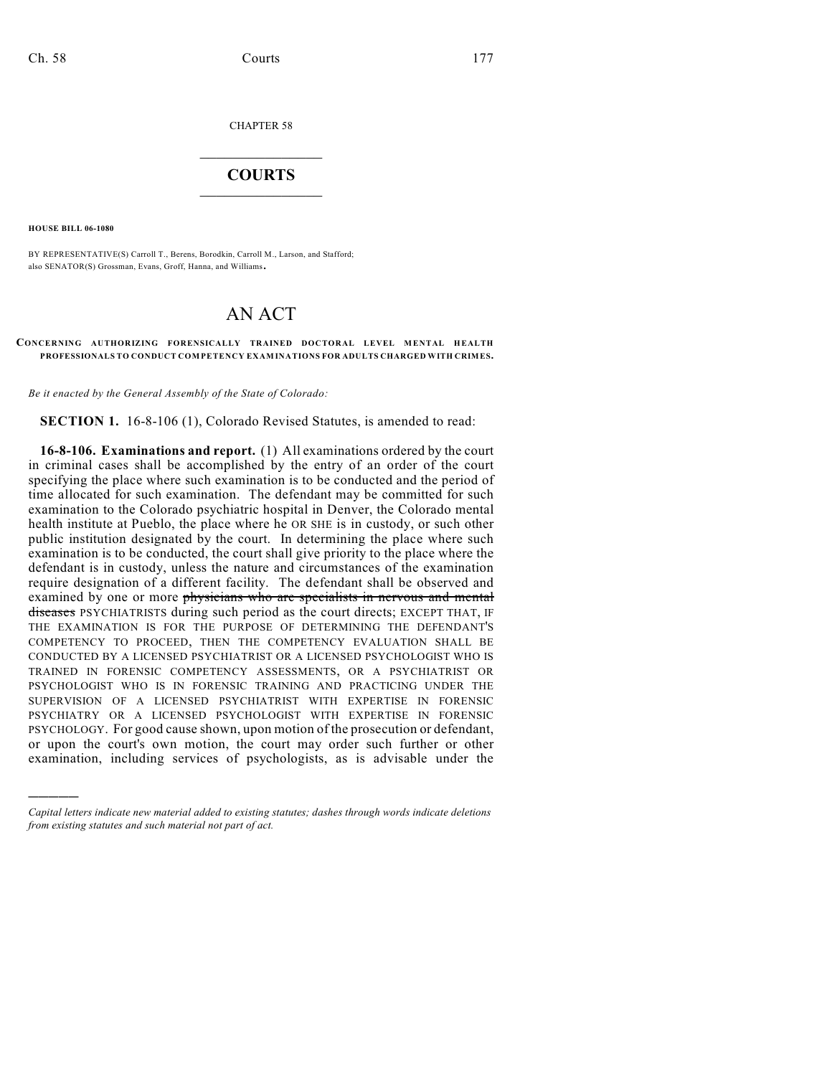CHAPTER 58

## $\overline{\phantom{a}}$  . The set of the set of the set of the set of the set of the set of the set of the set of the set of the set of the set of the set of the set of the set of the set of the set of the set of the set of the set o **COURTS**  $\_$

**HOUSE BILL 06-1080**

)))))

BY REPRESENTATIVE(S) Carroll T., Berens, Borodkin, Carroll M., Larson, and Stafford; also SENATOR(S) Grossman, Evans, Groff, Hanna, and Williams.

## AN ACT

## **CONCERNING AUTHORIZING FORENSICALLY TRAINED DOCTORAL LEVEL MENTAL HEALTH PROFESSIONALS TO CONDUCT COMPETENCY EXAMINATIONS FOR ADULTS CHARGED WITH CRIMES.**

*Be it enacted by the General Assembly of the State of Colorado:*

**SECTION 1.** 16-8-106 (1), Colorado Revised Statutes, is amended to read:

**16-8-106. Examinations and report.** (1) All examinations ordered by the court in criminal cases shall be accomplished by the entry of an order of the court specifying the place where such examination is to be conducted and the period of time allocated for such examination. The defendant may be committed for such examination to the Colorado psychiatric hospital in Denver, the Colorado mental health institute at Pueblo, the place where he OR SHE is in custody, or such other public institution designated by the court. In determining the place where such examination is to be conducted, the court shall give priority to the place where the defendant is in custody, unless the nature and circumstances of the examination require designation of a different facility. The defendant shall be observed and examined by one or more physicians who are specialists in nervous and mental diseases PSYCHIATRISTS during such period as the court directs; EXCEPT THAT, IF THE EXAMINATION IS FOR THE PURPOSE OF DETERMINING THE DEFENDANT'S COMPETENCY TO PROCEED, THEN THE COMPETENCY EVALUATION SHALL BE CONDUCTED BY A LICENSED PSYCHIATRIST OR A LICENSED PSYCHOLOGIST WHO IS TRAINED IN FORENSIC COMPETENCY ASSESSMENTS, OR A PSYCHIATRIST OR PSYCHOLOGIST WHO IS IN FORENSIC TRAINING AND PRACTICING UNDER THE SUPERVISION OF A LICENSED PSYCHIATRIST WITH EXPERTISE IN FORENSIC PSYCHIATRY OR A LICENSED PSYCHOLOGIST WITH EXPERTISE IN FORENSIC PSYCHOLOGY. For good cause shown, upon motion of the prosecution or defendant, or upon the court's own motion, the court may order such further or other examination, including services of psychologists, as is advisable under the

*Capital letters indicate new material added to existing statutes; dashes through words indicate deletions from existing statutes and such material not part of act.*